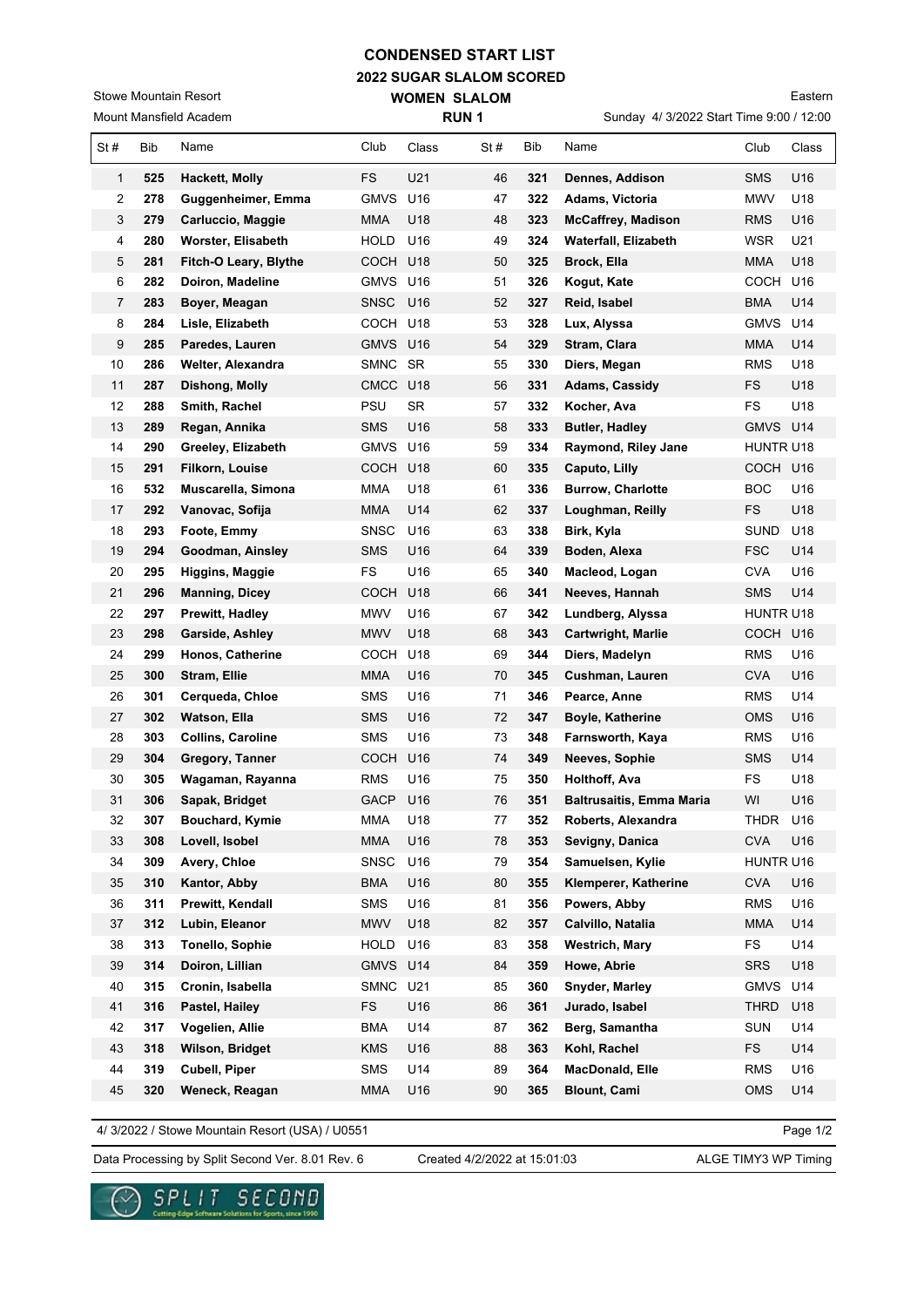## **CONDENSED START LIST**

**RUN 1** 

**2022 SUGAR SLALOM SCORED WOMEN SLALOM** 

Mount Mansfield Academ Stowe Mountain Resort

Sunday 4/ 3/2022 Start Time 9:00 / 12:00 Eastern

|     |     |                          |             |                 |     |     | $\frac{1}{2}$ of $\frac{1}{2}$ order that $\frac{1}{2}$ order that |             |       |
|-----|-----|--------------------------|-------------|-----------------|-----|-----|--------------------------------------------------------------------|-------------|-------|
| St# | Bib | Name                     | Club        | Class           | St# | Bib | Name                                                               | Club        | Class |
| 1   | 525 | Hackett, Molly           | <b>FS</b>   | U21             | 46  | 321 | Dennes, Addison                                                    | <b>SMS</b>  | U16   |
| 2   | 278 | Guggenheimer, Emma       | GMVS U16    |                 | 47  | 322 | Adams, Victoria                                                    | MWV         | U18   |
| 3   | 279 | Carluccio, Maggie        | <b>MMA</b>  | U18             | 48  | 323 | <b>McCaffrey, Madison</b>                                          | <b>RMS</b>  | U16   |
| 4   | 280 | Worster, Elisabeth       | <b>HOLD</b> | U16             | 49  | 324 | Waterfall, Elizabeth                                               | <b>WSR</b>  | U21   |
| 5   | 281 | Fitch-O Leary, Blythe    | COCH        | U18             | 50  | 325 | Brock, Ella                                                        | <b>MMA</b>  | U18   |
| 6   | 282 | Doiron, Madeline         | GMVS U16    |                 | 51  | 326 | Kogut, Kate                                                        | COCH        | U16   |
| 7   | 283 | Boyer, Meagan            | <b>SNSC</b> | U <sub>16</sub> | 52  | 327 | Reid, Isabel                                                       | <b>BMA</b>  | U14   |
| 8   | 284 | Lisle, Elizabeth         | COCH        | U18             | 53  | 328 | Lux, Alyssa                                                        | <b>GMVS</b> | U14   |
| 9   | 285 | Paredes, Lauren          | GMVS U16    |                 | 54  | 329 | Stram, Clara                                                       | MMA         | U14   |
| 10  | 286 | Welter, Alexandra        | SMNC SR     |                 | 55  | 330 | Diers, Megan                                                       | RMS         | U18   |
| 11  | 287 | Dishong, Molly           | CMCC U18    |                 | 56  | 331 | Adams, Cassidy                                                     | FS          | U18   |
| 12  | 288 | Smith, Rachel            | PSU         | <b>SR</b>       | 57  | 332 | Kocher, Ava                                                        | <b>FS</b>   | U18   |
| 13  | 289 | Regan, Annika            | <b>SMS</b>  | U16             | 58  | 333 | <b>Butler, Hadley</b>                                              | <b>GMVS</b> | U14   |
| 14  | 290 | Greeley, Elizabeth       | <b>GMVS</b> | U16             | 59  | 334 | Raymond, Riley Jane                                                | HUNTR U18   |       |
| 15  | 291 | <b>Filkorn, Louise</b>   | COCH U18    |                 | 60  | 335 | Caputo, Lilly                                                      | COCH U16    |       |
| 16  | 532 | Muscarella, Simona       | <b>MMA</b>  | U18             | 61  | 336 | <b>Burrow, Charlotte</b>                                           | BOC.        | U16   |
| 17  | 292 | Vanovac, Sofija          | MMA         | U14             | 62  | 337 | Loughman, Reilly                                                   | FS          | U18   |
| 18  | 293 | Foote, Emmy              | SNSC        | U16             | 63  | 338 | Birk, Kyla                                                         | SUND        | U18   |
| 19  | 294 | Goodman, Ainsley         | <b>SMS</b>  | U16             | 64  | 339 | Boden, Alexa                                                       | <b>FSC</b>  | U14   |
| 20  | 295 | Higgins, Maggie          | FS          | U16             | 65  | 340 | Macleod, Logan                                                     | CVA         | U16   |
| 21  | 296 | <b>Manning, Dicey</b>    | <b>COCH</b> | U18             | 66  | 341 | Neeves, Hannah                                                     | <b>SMS</b>  | U14   |
| 22  | 297 | Prewitt, Hadley          | <b>MWV</b>  | U16             | 67  | 342 | Lundberg, Alyssa                                                   | HUNTR U18   |       |
| 23  | 298 | Garside, Ashley          | <b>MWV</b>  | U18             | 68  | 343 | Cartwright, Marlie                                                 | COCH U16    |       |
| 24  | 299 | Honos, Catherine         | СОСН        | U18             | 69  | 344 | Diers, Madelyn                                                     | <b>RMS</b>  | U16   |
| 25  | 300 | Stram, Ellie             | <b>MMA</b>  | U16             | 70  | 345 | Cushman, Lauren                                                    | <b>CVA</b>  | U16   |
| 26  | 301 | Cerqueda, Chloe          | <b>SMS</b>  | U16             | 71  | 346 | Pearce, Anne                                                       | <b>RMS</b>  | U14   |
| 27  | 302 | Watson, Ella             | <b>SMS</b>  | U16             | 72  | 347 | Boyle, Katherine                                                   | <b>OMS</b>  | U16   |
| 28  | 303 | <b>Collins, Caroline</b> | <b>SMS</b>  | U16             | 73  | 348 | Farnsworth, Kaya                                                   | <b>RMS</b>  | U16   |
| 29  | 304 | Gregory, Tanner          | COCH        | U16             | 74  | 349 | Neeves, Sophie                                                     | SMS         | U14   |
| 30  | 305 | Wagaman, Rayanna         | <b>RMS</b>  | U16             | 75  | 350 | Holthoff, Ava                                                      | <b>FS</b>   | U18   |
| 31  | 306 | Sapak, Bridget           | GACP U16    |                 | 76  | 351 | <b>Baltrusaitis, Emma Maria</b>                                    | WI          | U16   |
| 32  | 307 | Bouchard, Kymie          | MMA         | U18             | 77  | 352 | Roberts, Alexandra                                                 | THDR        | U16   |
| 33  | 308 | Lovell, Isobel           | <b>MMA</b>  | U16             | 78  | 353 | Sevigny, Danica                                                    | <b>CVA</b>  | U16   |
| 34  | 309 | Avery, Chloe             | <b>SNSC</b> | U16             | 79  | 354 | Samuelsen, Kylie                                                   | HUNTR U16   |       |
| 35  | 310 | Kantor, Abby             | <b>BMA</b>  | U16             | 80  | 355 | Klemperer, Katherine                                               | <b>CVA</b>  | U16   |
| 36  | 311 | Prewitt, Kendall         | <b>SMS</b>  | U16             | 81  | 356 | Powers, Abby                                                       | <b>RMS</b>  | U16   |
| 37  | 312 | Lubin, Eleanor           | <b>MWV</b>  | U18             | 82  | 357 | Calvillo, Natalia                                                  | <b>MMA</b>  | U14   |
| 38  | 313 | <b>Tonello, Sophie</b>   | HOLD        | U16             | 83  | 358 | <b>Westrich, Mary</b>                                              | FS          | U14   |
| 39  | 314 | Doiron, Lillian          | GMVS U14    |                 | 84  | 359 | Howe, Abrie                                                        | <b>SRS</b>  | U18   |
| 40  | 315 | Cronin, Isabella         | SMNC        | U21             | 85  | 360 | Snyder, Marley                                                     | <b>GMVS</b> | U14   |
| 41  | 316 | Pastel, Hailey           | FS          | U16             | 86  | 361 | Jurado, Isabel                                                     | THRD        | U18   |
| 42  | 317 | Vogelien, Allie          | <b>BMA</b>  | U14             | 87  | 362 | Berg, Samantha                                                     | <b>SUN</b>  | U14   |
| 43  | 318 | Wilson, Bridget          | <b>KMS</b>  | U16             | 88  | 363 | Kohl, Rachel                                                       | FS.         | U14   |
| 44  | 319 | Cubell, Piper            | SMS         | U14             | 89  | 364 | MacDonald, Elle                                                    | <b>RMS</b>  | U16   |
| 45  | 320 | Weneck, Reagan           | MMA         | U16             | 90  | 365 | <b>Blount, Cami</b>                                                | <b>OMS</b>  | U14   |

4/ 3/2022 / Stowe Mountain Resort (USA) / U0551

Page 1/2

Data Processing by Split Second Ver. 8.01 Rev. 6 Created 4/2/2022 at 15:01:03 ALGE TIMY3 WP Timing

SPLIT SECOND

. Solutions for Sports, since 1990

 $\checkmark$ 

Created 4/2/2022 at 15:01:03